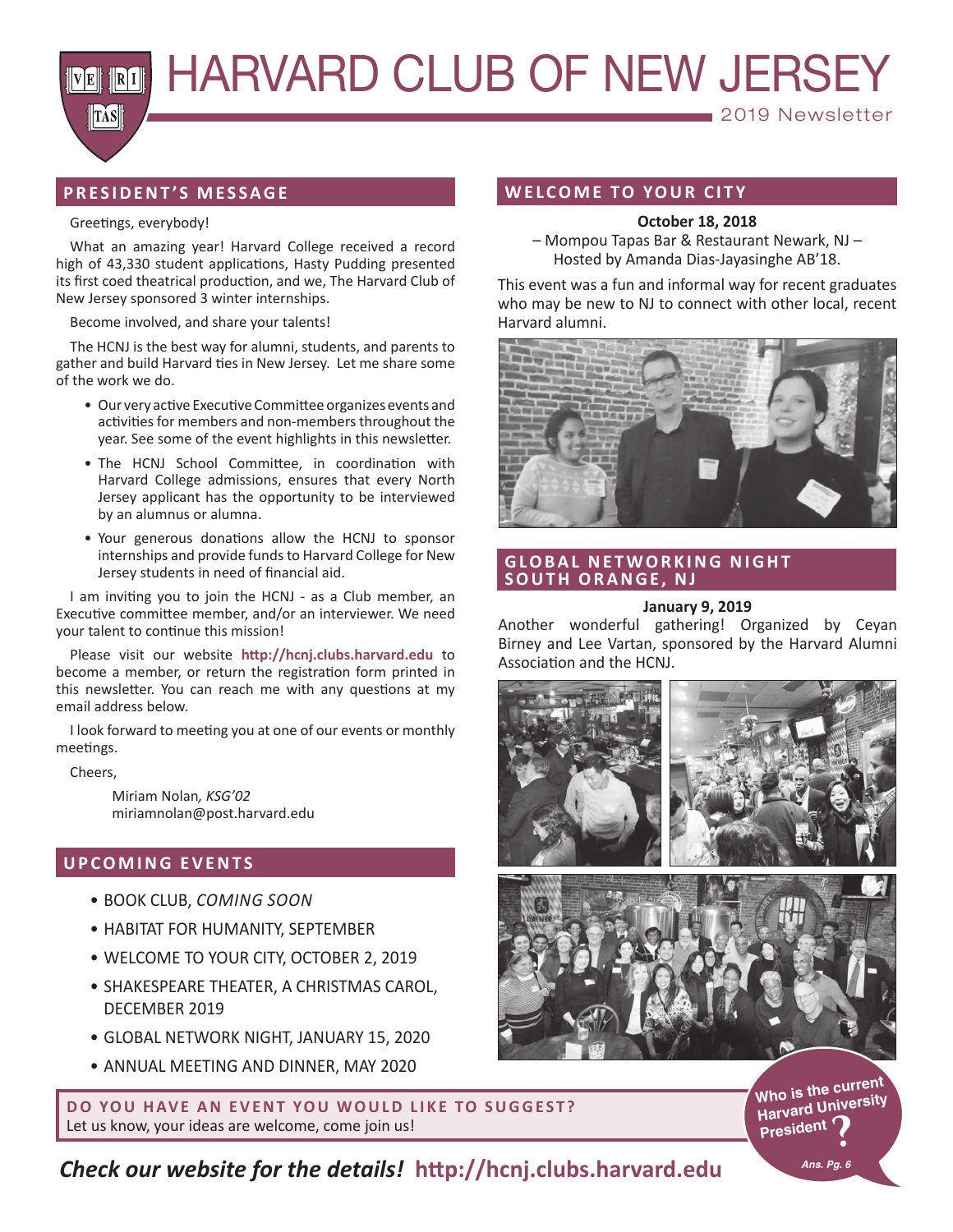**MENTERY HARVARD CLUB OF NEW JERSEY** 

## **PRESIDENT'S MESSAGE**

#### Greetings, everybody!

**TAS** 

What an amazing year! Harvard College received a record high of 43,330 student applications, Hasty Pudding presented its first coed theatrical production, and we, The Harvard Club of New Jersey sponsored 3 winter internships.

#### Become involved, and share your talents!

The HCNJ is the best way for alumni, students, and parents to gather and build Harvard ties in New Jersey. Let me share some of the work we do.

- Our very active Executive Committee organizes events and activities for members and non-members throughout the year. See some of the event highlights in this newsletter.
- The HCNJ School Committee, in coordination with Harvard College admissions, ensures that every North Jersey applicant has the opportunity to be interviewed by an alumnus or alumna.
- Your generous donations allow the HCNJ to sponsor internships and provide funds to Harvard College for New Jersey students in need of financial aid.

I am inviting you to join the HCNJ - as a Club member, an Executive committee member, and/or an interviewer. We need your talent to continue this mission!

Please visit our website **http://hcnj.clubs.harvard.edu** to become a member, or return the registration form printed in this newsletter. You can reach me with any questions at my email address below.

I look forward to meeting you at one of our events or monthly meetings.

Cheers,

Miriam Nolan*, KSG'02*  miriamnolan@post.harvard.edu

## **U P CO M I N G E V E N T S**

- BOOK CLUB, *COMING SOON*
- HABITAT FOR HUMANITY, SEPTEMBER
- WELCOME TO YOUR CITY, OCTOBER 2, 2019
- SHAKESPEARE THEATER, A CHRISTMAS CAROL, DECEMBER 2019
- GLOBAL NETWORK NIGHT, JANUARY 15, 2020
- ANNUAL MEETING AND DINNER, MAY 2020

## **WELCOME TO YOUR CITY**

#### **October 18, 2018**

2019 Newsletter

– Mompou Tapas Bar & Restaurant Newark, NJ – Hosted by Amanda Dias-Jayasinghe AB'18.

This event was a fun and informal way for recent graduates who may be new to NJ to connect with other local, recent Harvard alumni.



## **GLOBAL NETWORKING NIGHT SOUTH ORANGE, NJ**

#### **January 9, 2019**

Another wonderful gathering! Organized by Ceyan Birney and Lee Vartan, sponsored by the Harvard Alumni Association and the HCNJ.



**DO YOU HAVE AN EVENT YOU WOULD LIKE TO SUGGEST?** Let us know, your ideas are welcome, come join us!

**Who is the current Harvard University President**

*Check our website for the details!* **http://hcnj.clubs.harvard.edu**

*Ans. Pg. 6*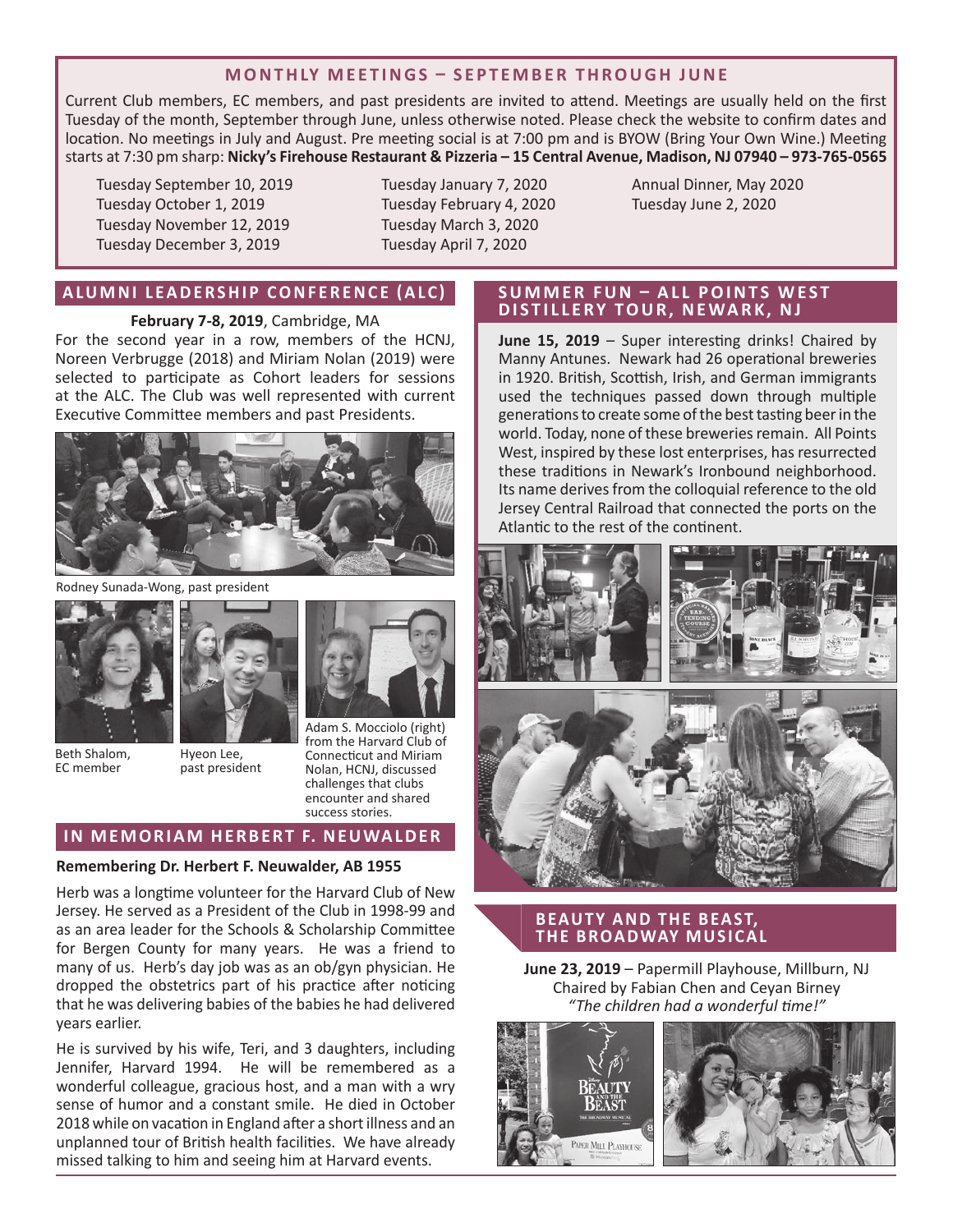## **MONTHLY MEETINGS – SEPTEMBER THROUGH JUNE**

Current Club members, EC members, and past presidents are invited to attend. Meetings are usually held on the first Tuesday of the month, September through June, unless otherwise noted. Please check the website to confirm dates and location. No meetings in July and August. Pre meeting social is at 7:00 pm and is BYOW (Bring Your Own Wine.) Meeting starts at 7:30 pm sharp: **Nicky's Firehouse Restaurant & Pizzeria – 15 Central Avenue, Madison, NJ 07940 – 973-765-0565**

Tuesday September 10, 2019 Tuesday October 1, 2019 Tuesday November 12, 2019 Tuesday December 3, 2019

Tuesday January 7, 2020 Tuesday February 4, 2020 Tuesday March 3, 2020 Tuesday April 7, 2020

Annual Dinner, May 2020 Tuesday June 2, 2020

## **ALUMNI LEADERSHIP CONFERENCE (ALC)**

**February 7-8, 2019**, Cambridge, MA

For the second year in a row, members of the HCNJ, Noreen Verbrugge (2018) and Miriam Nolan (2019) were selected to participate as Cohort leaders for sessions at the ALC. The Club was well represented with current Executive Committee members and past Presidents.



Rodney Sunada-Wong, past president





Beth Shalom, EC member



Adam S. Mocciolo (right) from the Harvard Club of Connecticut and Miriam Nolan, HCNJ, discussed challenges that clubs encounter and shared success stories.

## **IN MEMORIAM HERBERT F. NEUWALDER**

#### **Remembering Dr. Herbert F. Neuwalder, AB 1955**

Herb was a longtime volunteer for the Harvard Club of New Jersey. He served as a President of the Club in 1998-99 and as an area leader for the Schools & Scholarship Committee for Bergen County for many years. He was a friend to many of us. Herb's day job was as an ob/gyn physician. He dropped the obstetrics part of his practice after noticing that he was delivering babies of the babies he had delivered years earlier.

He is survived by his wife, Teri, and 3 daughters, including Jennifer, Harvard 1994. He will be remembered as a wonderful colleague, gracious host, and a man with a wry sense of humor and a constant smile. He died in October 2018 while on vacation in England after a short illness and an unplanned tour of British health facilities. We have already missed talking to him and seeing him at Harvard events.

## **SUMMER FUN - ALL POINTS WEST DISTILLERY TOUR, NEWARK, NJ**

**June 15, 2019** – Super interesting drinks! Chaired by Manny Antunes. Newark had 26 operational breweries in 1920. British, Scottish, Irish, and German immigrants used the techniques passed down through multiple generations to create some of the best tasting beer in the world. Today, none of these breweries remain. All Points West, inspired by these lost enterprises, has resurrected these traditions in Newark's Ironbound neighborhood. Its name derives from the colloquial reference to the old Jersey Central Railroad that connected the ports on the Atlantic to the rest of the continent.



## **BEAUTY AND THE BEAST, THE BROADWAY MUSICAL**

**June 23, 2019** – Papermill Playhouse, Millburn, NJ Chaired by Fabian Chen and Ceyan Birney *"The children had a wonderful time!"*

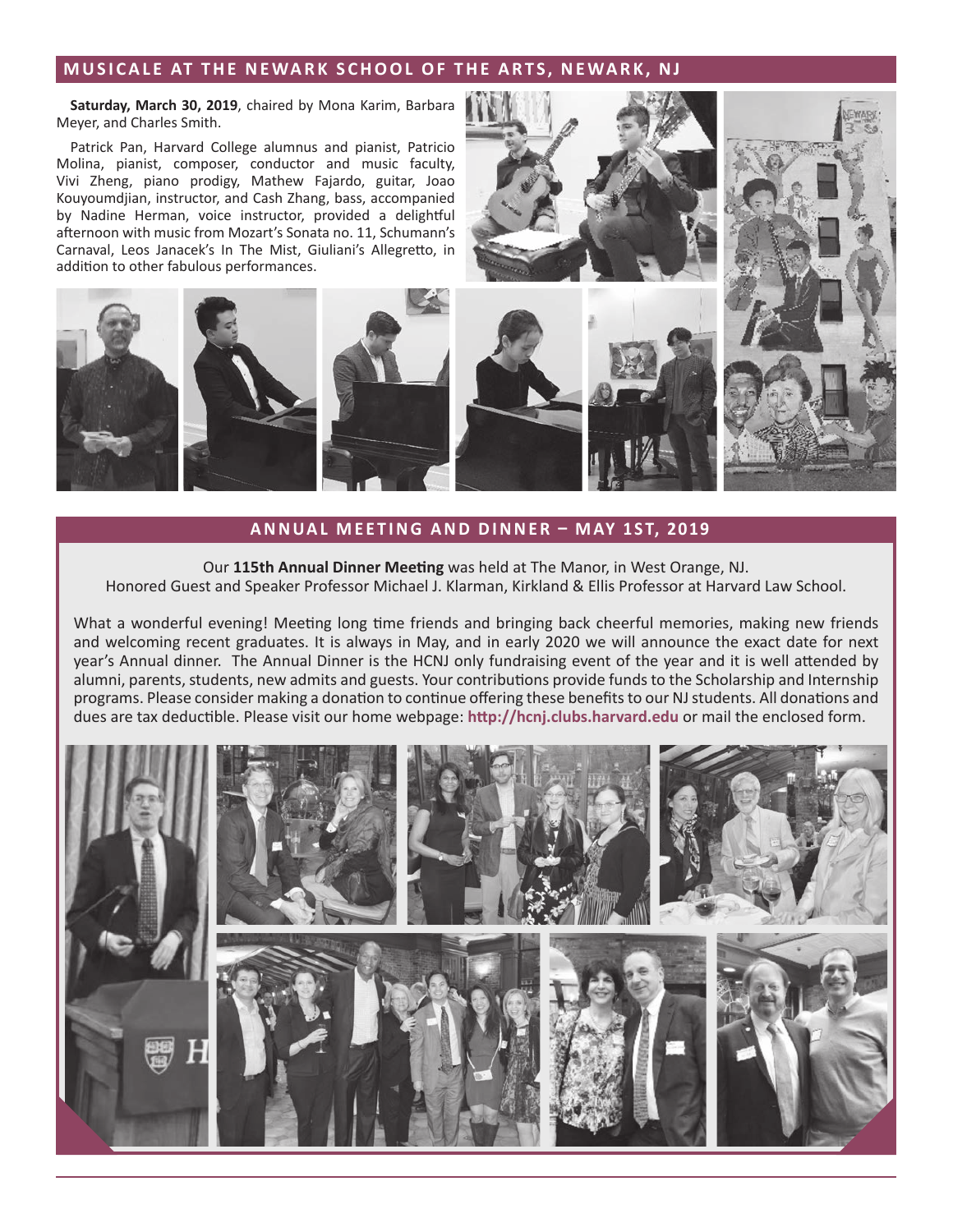## **MUSICALE AT THE NEWARK SCHOOL OF THE ARTS, NEWARK, NJ**

**Saturday, March 30, 2019**, chaired by Mona Karim, Barbara Meyer, and Charles Smith.

Patrick Pan, Harvard College alumnus and pianist, Patricio Molina, pianist, composer, conductor and music faculty, Vivi Zheng, piano prodigy, Mathew Fajardo, guitar, Joao Kouyoumdjian, instructor, and Cash Zhang, bass, accompanied by Nadine Herman, voice instructor, provided a delightful afternoon with music from Mozart's Sonata no. 11, Schumann's Carnaval, Leos Janacek's In The Mist, Giuliani's Allegretto, in addition to other fabulous performances.



#### **ANNUAL MEETING AND DINNER – MAY 1ST, 2019**

Our **115th Annual Dinner Meeting** was held at The Manor, in West Orange, NJ. Honored Guest and Speaker Professor Michael J. Klarman, Kirkland & Ellis Professor at Harvard Law School.

What a wonderful evening! Meeting long time friends and bringing back cheerful memories, making new friends and welcoming recent graduates. It is always in May, and in early 2020 we will announce the exact date for next year's Annual dinner. The Annual Dinner is the HCNJ only fundraising event of the year and it is well attended by alumni, parents, students, new admits and guests. Your contributions provide funds to the Scholarship and Internship programs. Please consider making a donation to continue offering these benefits to our NJ students. All donations and dues are tax deductible. Please visit our home webpage: **http://hcnj.clubs.harvard.edu** or mail the enclosed form.

![](_page_2_Picture_7.jpeg)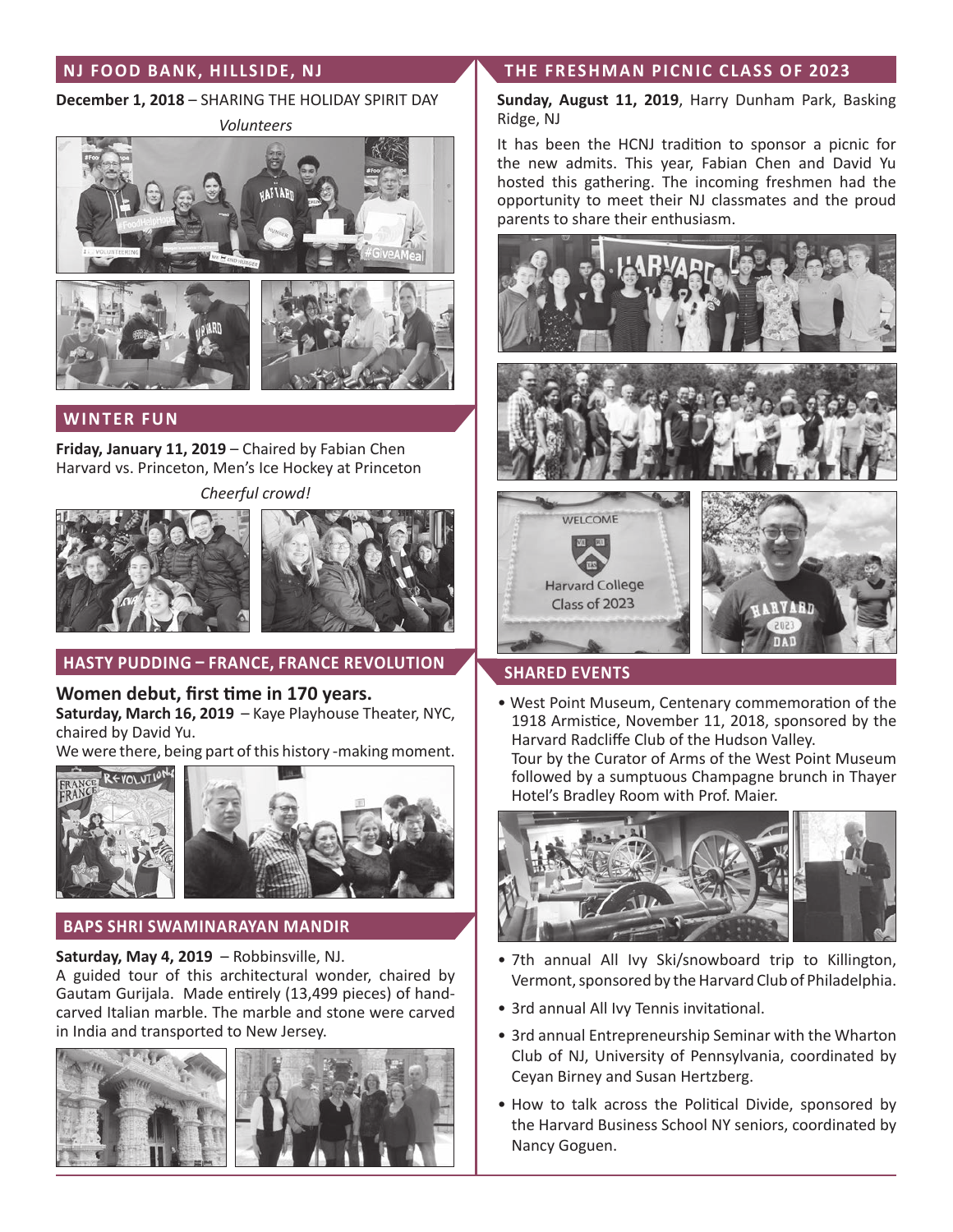# **NJ FOOD BANK, HILLSIDE, NJ**

## **December 1, 2018** – SHARING THE HOLIDAY SPIRIT DAY

*Volunteers*

![](_page_3_Picture_3.jpeg)

![](_page_3_Picture_4.jpeg)

# **WINTER FUN**

**Friday, January 11, 2019** – Chaired by Fabian Chen Harvard vs. Princeton, Men's Ice Hockey at Princeton

![](_page_3_Picture_7.jpeg)

![](_page_3_Picture_8.jpeg)

![](_page_3_Picture_9.jpeg)

# **HASTY PUDDING – FRANCE, FRANCE REVOLUTION**

**Women debut, first time in 170 years. Saturday, March 16, 2019** – Kaye Playhouse Theater, NYC, chaired by David Yu.

We were there, being part of this history -making moment.

![](_page_3_Picture_13.jpeg)

# **BAPS SHRI SWAMINARAYAN MANDIR**

## **Saturday, May 4, 2019** – Robbinsville, NJ.

A guided tour of this architectural wonder, chaired by Gautam Gurijala. Made entirely (13,499 pieces) of handcarved Italian marble. The marble and stone were carved in India and transported to New Jersey.

![](_page_3_Picture_17.jpeg)

## **THE FRESHMAN PICNIC CLASS OF 2023**

**Sunday, August 11, 2019**, Harry Dunham Park, Basking Ridge, NJ

It has been the HCNJ tradition to sponsor a picnic for the new admits. This year, Fabian Chen and David Yu hosted this gathering. The incoming freshmen had the opportunity to meet their NJ classmates and the proud parents to share their enthusiasm.

![](_page_3_Picture_21.jpeg)

## **SHARED EVENTS**

Class of 2023

• West Point Museum, Centenary commemoration of the 1918 Armistice, November 11, 2018, sponsored by the Harvard Radcliffe Club of the Hudson Valley. Tour by the Curator of Arms of the West Point Museum followed by a sumptuous Champagne brunch in Thayer

![](_page_3_Picture_24.jpeg)

- 7th annual All Ivy Ski/snowboard trip to Killington, Vermont, sponsored by the Harvard Club of Philadelphia.
- 3rd annual All Ivy Tennis invitational.
- 3rd annual Entrepreneurship Seminar with the Wharton Club of NJ, University of Pennsylvania, coordinated by Ceyan Birney and Susan Hertzberg.
- How to talk across the Political Divide, sponsored by the Harvard Business School NY seniors, coordinated by Nancy Goguen.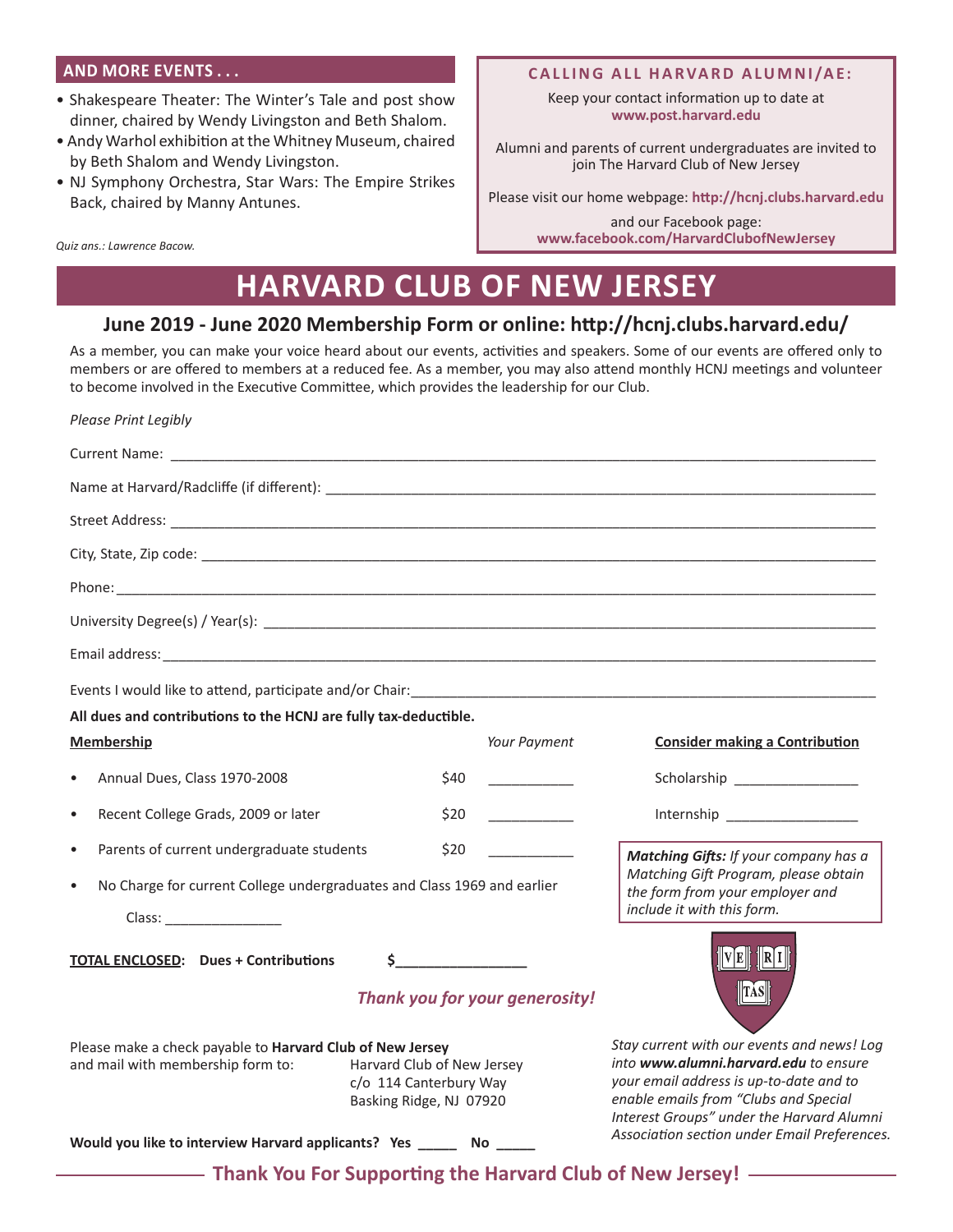## **AND MORE EVENTS . . .**

- Shakespeare Theater: The Winter's Tale and post show dinner, chaired by Wendy Livingston and Beth Shalom.
- Andy Warhol exhibition at the Whitney Museum, chaired by Beth Shalom and Wendy Livingston.
- NJ Symphony Orchestra, Star Wars: The Empire Strikes Back, chaired by Manny Antunes.

*Quiz ans.: Lawrence Bacow.*

#### **CALLING ALL HARVARD ALUMNI/AE:**

Keep your contact information up to date at **www.post.harvard.edu**

Alumni and parents of current undergraduates are invited to join The Harvard Club of New Jersey

Please visit our home webpage: **http://hcnj.clubs.harvard.edu**

and our Facebook page: **www.facebook.com/HarvardClubofNewJersey**

# **HARVARD CLUB OF NEW JERSEY**

# **June 2019 - June 2020 Membership Form or online: http://hcnj.clubs.harvard.edu/**

As a member, you can make your voice heard about our events, activities and speakers. Some of our events are offered only to members or are offered to members at a reduced fee. As a member, you may also attend monthly HCNJ meetings and volunteer to become involved in the Executive Committee, which provides the leadership for our Club.

| Please Print Legibly                                                                                                                                                              |      |              |                                                                                                                                                                                                                      |
|-----------------------------------------------------------------------------------------------------------------------------------------------------------------------------------|------|--------------|----------------------------------------------------------------------------------------------------------------------------------------------------------------------------------------------------------------------|
|                                                                                                                                                                                   |      |              |                                                                                                                                                                                                                      |
|                                                                                                                                                                                   |      |              |                                                                                                                                                                                                                      |
|                                                                                                                                                                                   |      |              |                                                                                                                                                                                                                      |
|                                                                                                                                                                                   |      |              |                                                                                                                                                                                                                      |
|                                                                                                                                                                                   |      |              |                                                                                                                                                                                                                      |
|                                                                                                                                                                                   |      |              |                                                                                                                                                                                                                      |
|                                                                                                                                                                                   |      |              |                                                                                                                                                                                                                      |
| All dues and contributions to the HCNJ are fully tax-deductible.                                                                                                                  |      |              |                                                                                                                                                                                                                      |
| <b>Membership</b>                                                                                                                                                                 |      | Your Payment | <b>Consider making a Contribution</b>                                                                                                                                                                                |
| Annual Dues, Class 1970-2008<br>$\bullet$                                                                                                                                         | \$40 |              | Scholarship _________________                                                                                                                                                                                        |
| Recent College Grads, 2009 or later<br>$\bullet$                                                                                                                                  | \$20 |              | Internship __________________                                                                                                                                                                                        |
| Parents of current undergraduate students<br>$\bullet$                                                                                                                            | \$20 |              | Matching Gifts: If your company has a                                                                                                                                                                                |
| No Charge for current College undergraduates and Class 1969 and earlier<br>$\bullet$                                                                                              |      |              | Matching Gift Program, please obtain<br>the form from your employer and<br>include it with this form.                                                                                                                |
| $\frac{1}{2}$<br><b>TOTAL ENCLOSED:</b> Dues + Contributions                                                                                                                      |      |              | V E    <b>6</b>   R I                                                                                                                                                                                                |
| Thank you for your generosity!                                                                                                                                                    |      |              | $\ TAS\ $                                                                                                                                                                                                            |
| Please make a check payable to Harvard Club of New Jersey<br>and mail with membership form to:<br>Harvard Club of New Jersey<br>c/o 114 Canterbury Way<br>Basking Ridge, NJ 07920 |      |              | Stay current with our events and news! Log<br>into www.alumni.harvard.edu to ensure<br>your email address is up-to-date and to<br>enable emails from "Clubs and Special<br>Interest Groups" under the Harvard Alumni |
| Association section under Email Preferences.<br>Would you like to interview Harvard applicants? Yes _______ No _____                                                              |      |              |                                                                                                                                                                                                                      |
| - Thank You For Supporting the Harvard Club of New Jersey! - Thank You For Supporting the Harvard Club of New Jersey                                                              |      |              |                                                                                                                                                                                                                      |